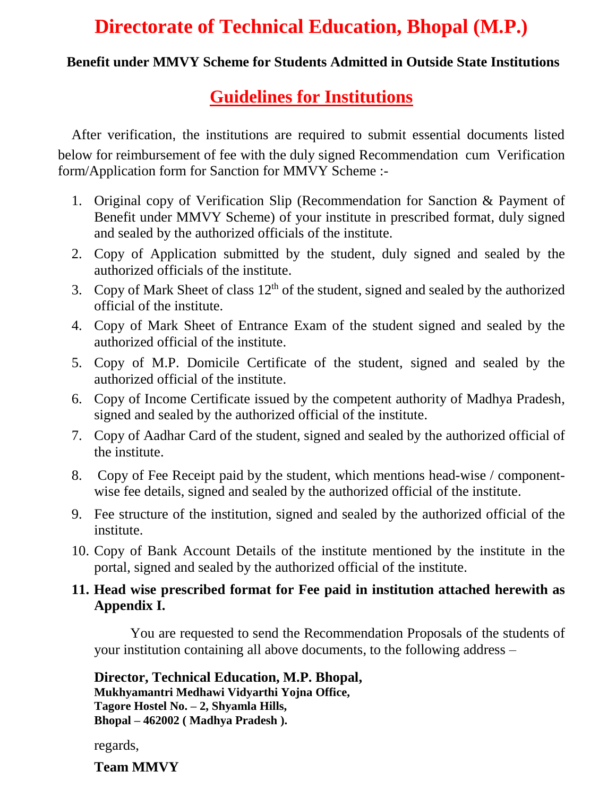# **Directorate of Technical Education, Bhopal (M.P.)**

#### **Benefit under MMVY Scheme for Students Admitted in Outside State Institutions**

## **Guidelines for Institutions**

After verification, the institutions are required to submit essential documents listed below for reimbursement of fee with the duly signed Recommendation cum Verification form/Application form for Sanction for MMVY Scheme :-

- 1. Original copy of Verification Slip (Recommendation for Sanction & Payment of Benefit under MMVY Scheme) of your institute in prescribed format, duly signed and sealed by the authorized officials of the institute.
- 2. Copy of Application submitted by the student, duly signed and sealed by the authorized officials of the institute.
- 3. Copy of Mark Sheet of class  $12<sup>th</sup>$  of the student, signed and sealed by the authorized official of the institute.
- 4. Copy of Mark Sheet of Entrance Exam of the student signed and sealed by the authorized official of the institute.
- 5. Copy of M.P. Domicile Certificate of the student, signed and sealed by the authorized official of the institute.
- 6. Copy of Income Certificate issued by the competent authority of Madhya Pradesh, signed and sealed by the authorized official of the institute.
- 7. Copy of Aadhar Card of the student, signed and sealed by the authorized official of the institute.
- 8. Copy of Fee Receipt paid by the student, which mentions head-wise / componentwise fee details, signed and sealed by the authorized official of the institute.
- 9. Fee structure of the institution, signed and sealed by the authorized official of the institute.
- 10. Copy of Bank Account Details of the institute mentioned by the institute in the portal, signed and sealed by the authorized official of the institute.

#### **11. Head wise prescribed format for Fee paid in institution attached herewith as Appendix I.**

You are requested to send the Recommendation Proposals of the students of your institution containing all above documents, to the following address –

**Director, Technical Education, M.P. Bhopal, Mukhyamantri Medhawi Vidyarthi Yojna Office, Tagore Hostel No. – 2, Shyamla Hills, Bhopal – 462002 ( Madhya Pradesh ).**

regards,

**Team MMVY**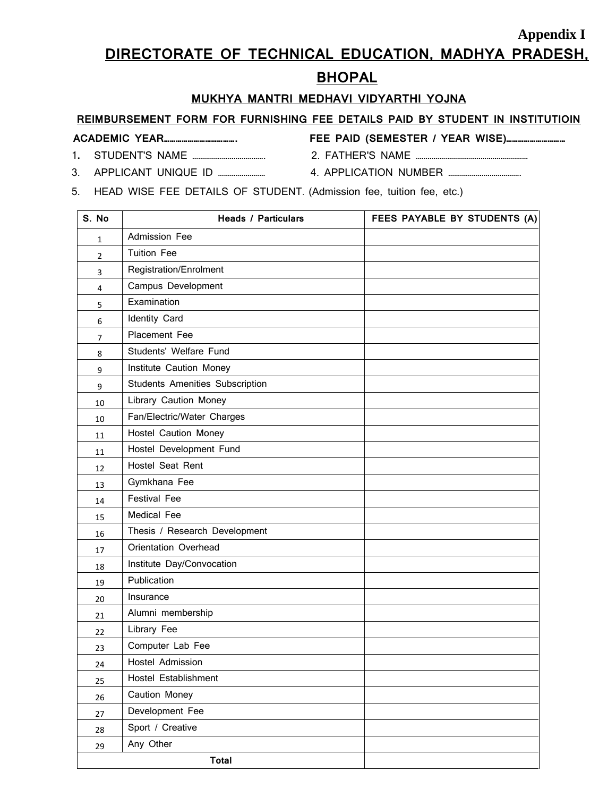### **Appendix I DIRECTORATE OF TECHNICAL EDUCATION, MADHYA PRADESH,**

#### **BHOPAL**

#### **MUKHYA MANTRI MEDHAVI VIDYARTHI YOJNA**

#### **REIMBURSEMENT FORM FOR FURNISHING FEE DETAILS PAID BY STUDENT IN INSTITUTIOIN**

|--|--|

### **ACADEMIC YEAR………………………………. FEE PAID (SEMESTER / YEAR WISE)…………………………**

- 
- **.** STUDENT'S NAME ………………………………. 2. FATHER'S NAME …………………………………………………
- 3. APPLICANT UNIQUE ID …………………… 4. APPLICATION NUMBER ……………………………….
- 
- 5. HEAD WISE FEE DETAILS OF STUDENT. (Admission fee, tuition fee, etc.)

| S. No                   | <b>Heads / Particulars</b>      | FEES PAYABLE BY STUDENTS (A) |
|-------------------------|---------------------------------|------------------------------|
| 1                       | Admission Fee                   |                              |
| $\overline{2}$          | <b>Tuition Fee</b>              |                              |
| 3                       | <b>Registration/Enrolment</b>   |                              |
| $\overline{\mathbf{4}}$ | Campus Development              |                              |
| 5                       | Examination                     |                              |
| 6                       | Identity Card                   |                              |
| $\overline{7}$          | Placement Fee                   |                              |
| 8                       | Students' Welfare Fund          |                              |
| 9                       | Institute Caution Money         |                              |
| 9                       | Students Amenities Subscription |                              |
| 10                      | Library Caution Money           |                              |
| 10                      | Fan/Electric/Water Charges      |                              |
| 11                      | Hostel Caution Money            |                              |
| 11                      | Hostel Development Fund         |                              |
| 12                      | Hostel Seat Rent                |                              |
| 13                      | Gymkhana Fee                    |                              |
| 14                      | <b>Festival Fee</b>             |                              |
| 15                      | Medical Fee                     |                              |
| 16                      | Thesis / Research Development   |                              |
| 17                      | Orientation Overhead            |                              |
| 18                      | Institute Day/Convocation       |                              |
| 19                      | Publication                     |                              |
| 20                      | Insurance                       |                              |
| 21                      | Alumni membership               |                              |
| 22                      | Library Fee                     |                              |
| 23                      | Computer Lab Fee                |                              |
| 24                      | Hostel Admission                |                              |
| 25                      | Hostel Establishment            |                              |
| 26                      | Caution Money                   |                              |
| $27\,$                  | Development Fee                 |                              |
| 28                      | Sport / Creative                |                              |
| 29                      | Any Other                       |                              |
|                         | <b>Total</b>                    |                              |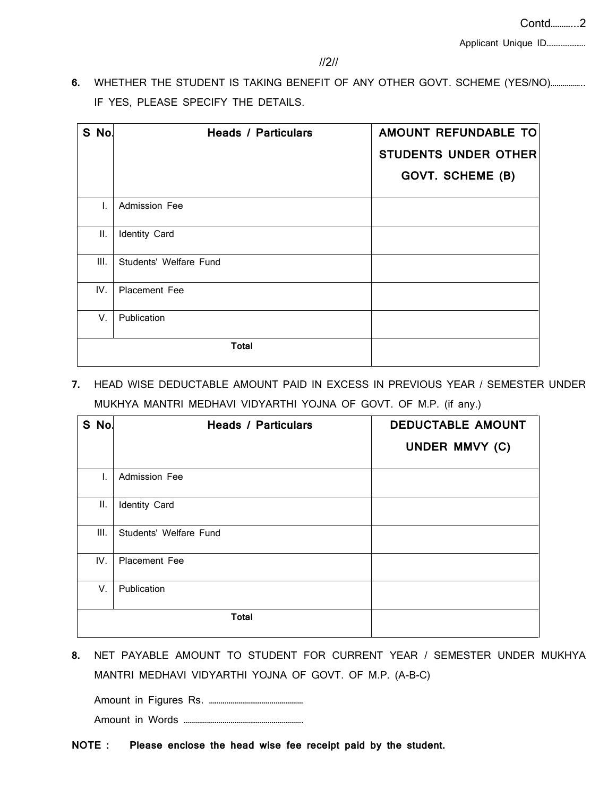Applicant Unique ID………………….

**6.** WHETHER THE STUDENT IS TAKING BENEFIT OF ANY OTHER GOVT. SCHEME (YES/NO)…………….. IF YES, PLEASE SPECIFY THE DETAILS.

| S No. | <b>Heads / Particulars</b> | AMOUNT REFUNDABLE TO<br><b>STUDENTS UNDER OTHER</b><br><b>GOVT. SCHEME (B)</b> |
|-------|----------------------------|--------------------------------------------------------------------------------|
| I.    | Admission Fee              |                                                                                |
| П.    | Identity Card              |                                                                                |
| Ш.    | Students' Welfare Fund     |                                                                                |
| IV.   | <b>Placement Fee</b>       |                                                                                |
| V.    | Publication                |                                                                                |
|       | <b>Total</b>               |                                                                                |

**7.** HEAD WISE DEDUCTABLE AMOUNT PAID IN EXCESS IN PREVIOUS YEAR / SEMESTER UNDER MUKHYA MANTRI MEDHAVI VIDYARTHI YOJNA OF GOVT. OF M.P. (if any.)

| S No. | <b>Heads / Particulars</b> | <b>DEDUCTABLE AMOUNT</b><br>UNDER MMVY (C) |
|-------|----------------------------|--------------------------------------------|
| I.    | Admission Fee              |                                            |
| ΙΙ.   | Identity Card              |                                            |
| Ш.    | Students' Welfare Fund     |                                            |
| IV.   | Placement Fee              |                                            |
| V.    | Publication                |                                            |
|       | <b>Total</b>               |                                            |

**8.** NET PAYABLE AMOUNT TO STUDENT FOR CURRENT YEAR / SEMESTER UNDER MUKHYA MANTRI MEDHAVI VIDYARTHI YOJNA OF GOVT. OF M.P. (A-B-C)

Amount in Figures Rs. ………………………………………… Amount in Words …………………………………………………….

**NOTE : Please enclose the head wise fee receipt paid by the student.**